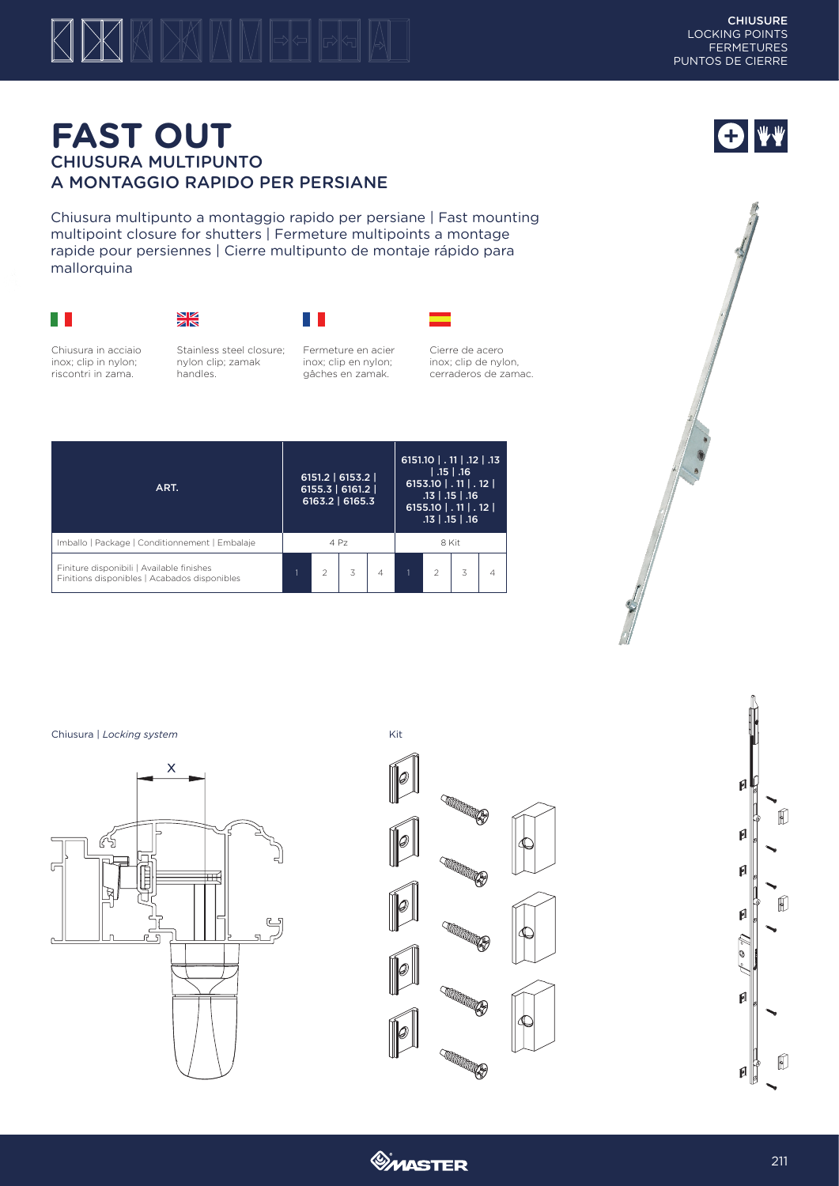## $\boxtimes$ KDKINM  $\bigwedge$

O VV

## **FAST OUT** CHIUSURA MULTIPUNTO A MONTAGGIO RAPIDO PER PERSIANE

Chiusura multipunto a montaggio rapido per persiane | Fast mounting multipoint closure for shutters | Fermeture multipoints a montage rapide pour persiennes | Cierre multipunto de montaje rápido para mallorquina







 $\mathbb{R}^n$ 

inox; clip en nylon; gâches en zamak.

Fermeture en acier

Chiusura in acciaio inox; clip in nylon; riscontri in zama.

Stainless steel closure; nylon clip; zamak handles.

Cierre de acero inox; clip de nylon, cerraderos de zamac.



Chiusura | *Locking system* Kit









*<u>OMASTER</u>*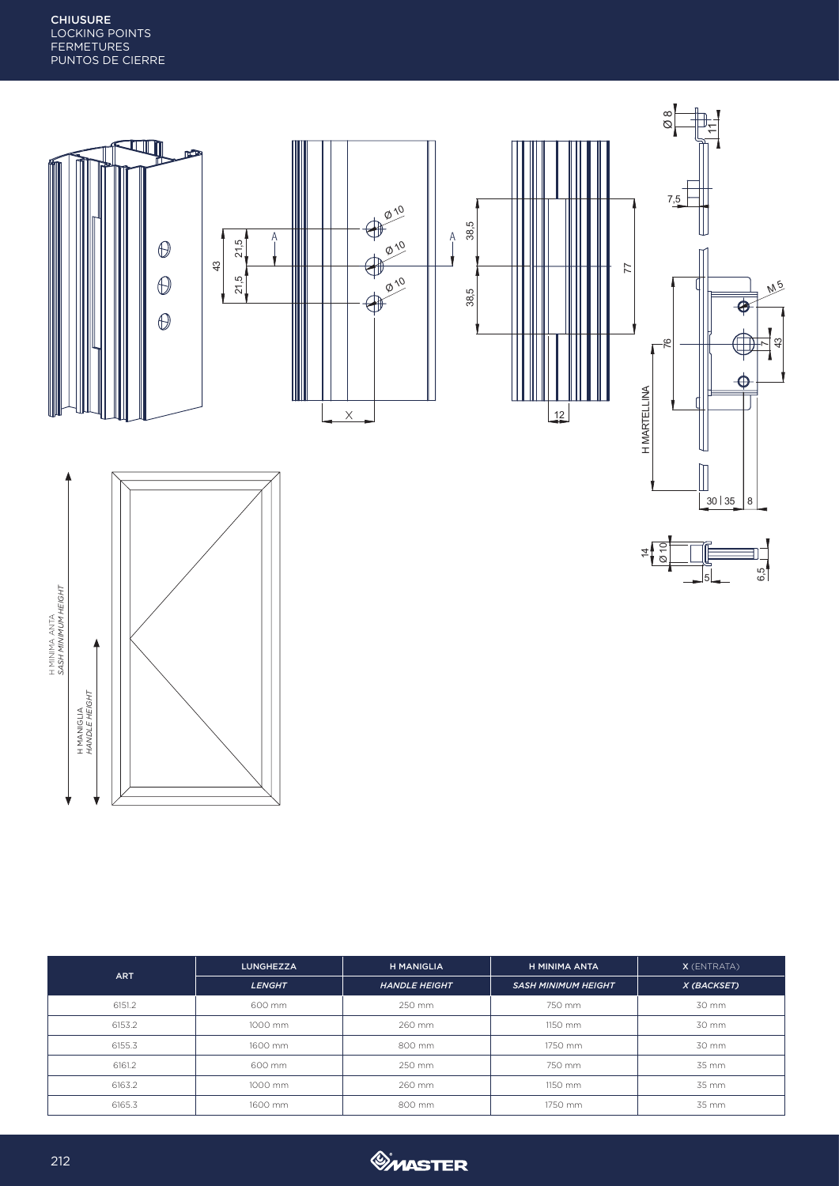

| <b>ART</b> | <b>LUNGHEZZA</b> | <b>H MANIGLIA</b>    | H MINIMA ANTA              | $X$ (ENTRATA) |  |
|------------|------------------|----------------------|----------------------------|---------------|--|
|            | <b>LENGHT</b>    | <b>HANDLE HEIGHT</b> | <b>SASH MINIMUM HEIGHT</b> | X (BACKSET)   |  |
| 6151.2     | 600 mm           | 250 mm               | 750 mm                     | 30 mm         |  |
| 6153.2     | 1000 mm          | 260 mm               | 1150 mm                    | 30 mm         |  |
| 6155.3     | 1600 mm          | 800 mm               | 1750 mm                    | 30 mm         |  |
| 6161.2     | 600 mm           | 250 mm               | 750 mm                     | 35 mm         |  |
| 6163.2     | 1000 mm          | 260 mm               | 1150 mm                    | 35 mm         |  |
| 6165.3     | 1600 mm          | 800 mm               | 1750 mm                    | 35 mm         |  |



┪